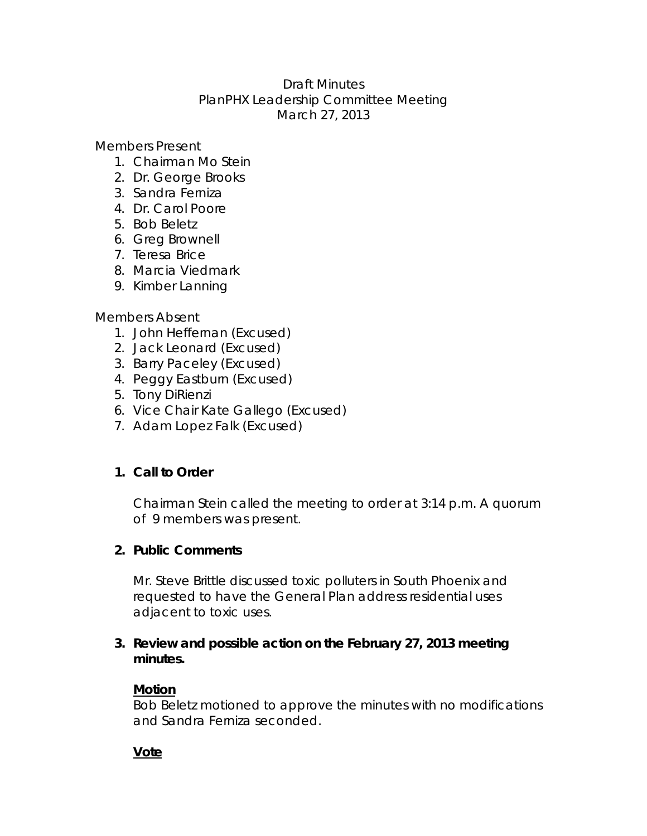## Draft Minutes PlanPHX Leadership Committee Meeting March 27, 2013

Members Present

- 1. Chairman Mo Stein
- 2. Dr. George Brooks
- 3. Sandra Ferniza
- 4. Dr. Carol Poore
- 5. Bob Beletz
- 6. Greg Brownell
- 7. Teresa Brice
- 8. Marcia Viedmark
- 9. Kimber Lanning

#### Members Absent

- 1. John Heffernan (Excused)
- 2. Jack Leonard (Excused)
- 3. Barry Paceley (Excused)
- 4. Peggy Eastburn (Excused)
- 5. Tony DiRienzi
- 6. Vice Chair Kate Gallego (Excused)
- 7. Adam Lopez Falk (Excused)

# **1. Call to Order**

Chairman Stein called the meeting to order at 3:14 p.m. A quorum of 9 members was present.

### **2. Public Comments**

Mr. Steve Brittle discussed toxic polluters in South Phoenix and requested to have the General Plan address residential uses adjacent to toxic uses.

### **3. Review and possible action on the February 27, 2013 meeting minutes.**

### **Motion**

Bob Beletz motioned to approve the minutes with no modifications and Sandra Ferniza seconded.

### **Vote**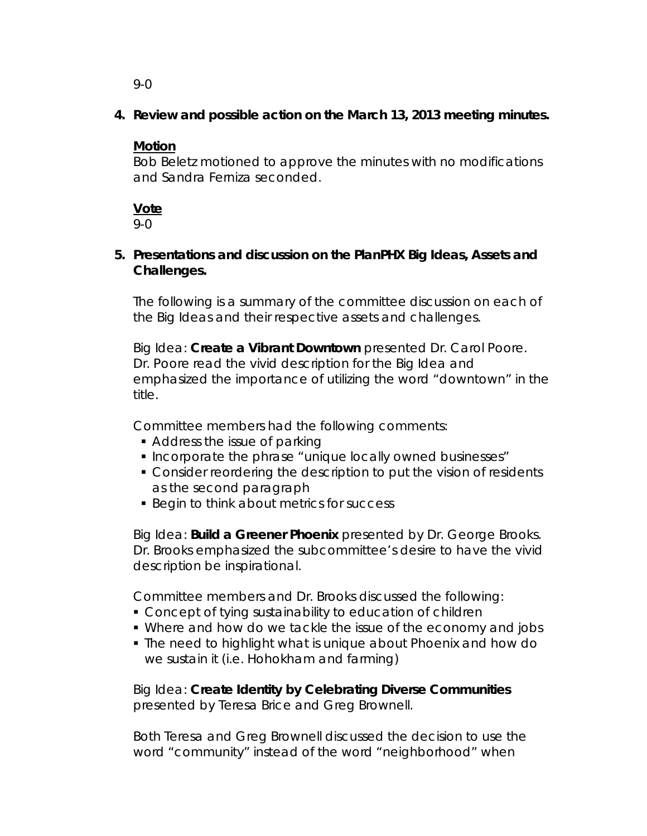9-0

**4. Review and possible action on the March 13, 2013 meeting minutes.** 

## **Motion**

Bob Beletz motioned to approve the minutes with no modifications and Sandra Ferniza seconded.

**Vote** 

9-0

## **5. Presentations and discussion on the PlanPHX Big Ideas, Assets and Challenges.**

The following is a summary of the committee discussion on each of the Big Ideas and their respective assets and challenges.

Big Idea: **Create a Vibrant Downtown** presented Dr. Carol Poore. Dr. Poore read the vivid description for the Big Idea and emphasized the importance of utilizing the word "downtown" in the title.

Committee members had the following comments:

- Address the issue of parking
- **Incorporate the phrase "unique locally owned businesses"**
- Consider reordering the description to put the vision of residents as the second paragraph
- **Begin to think about metrics for success**

Big Idea: **Build a Greener Phoenix** presented by Dr. George Brooks. Dr. Brooks emphasized the subcommittee's desire to have the vivid description be inspirational.

Committee members and Dr. Brooks discussed the following:

- Concept of tying sustainability to education of children
- Where and how do we tackle the issue of the economy and jobs
- The need to highlight what is unique about Phoenix and how do we sustain it (i.e. Hohokham and farming)

Big Idea: **Create Identity by Celebrating Diverse Communities**  presented by Teresa Brice and Greg Brownell.

Both Teresa and Greg Brownell discussed the decision to use the word "community" instead of the word "neighborhood" when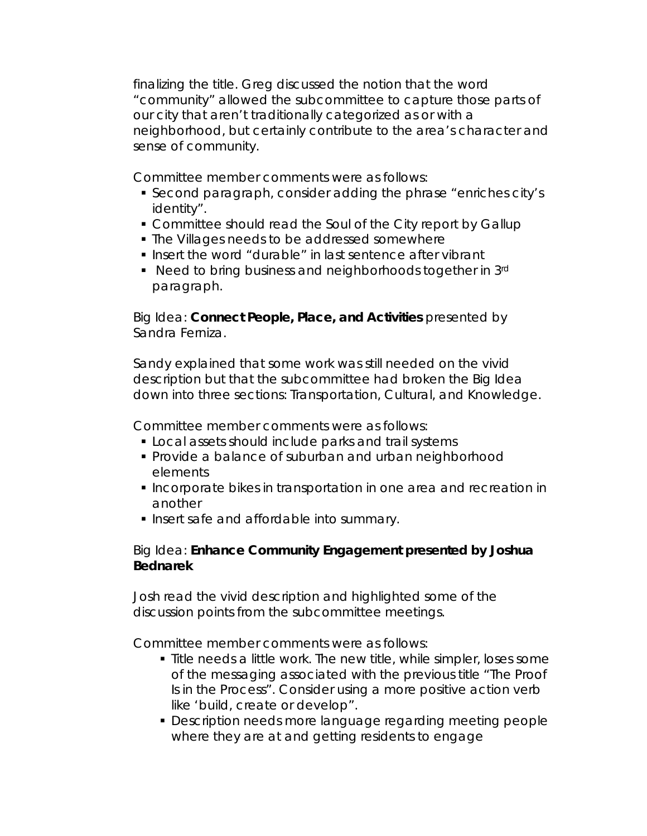finalizing the title. Greg discussed the notion that the word "community" allowed the subcommittee to capture those parts of our city that aren't traditionally categorized as or with a neighborhood, but certainly contribute to the area's character and sense of community.

Committee member comments were as follows:

- Second paragraph, consider adding the phrase "enriches city's identity".
- Committee should read the Soul of the City report by Gallup
- **The Villages needs to be addressed somewhere**
- Insert the word "durable" in last sentence after vibrant
- Need to bring business and neighborhoods together in 3rd paragraph.

Big Idea: **Connect People, Place, and Activities** presented by Sandra Ferniza.

Sandy explained that some work was still needed on the vivid description but that the subcommittee had broken the Big Idea down into three sections: Transportation, Cultural, and Knowledge.

Committee member comments were as follows:

- **Local assets should include parks and trail systems**
- **Provide a balance of suburban and urban neighborhood** elements
- **Incorporate bikes in transportation in one area and recreation in** another
- **Insert safe and affordable into summary.**

## Big Idea: **Enhance Community Engagement presented by Joshua Bednarek**

Josh read the vivid description and highlighted some of the discussion points from the subcommittee meetings.

Committee member comments were as follows:

- **Title needs a little work. The new title, while simpler, loses some** of the messaging associated with the previous title "The Proof Is in the Process". Consider using a more positive action verb like 'build, create or develop".
- Description needs more language regarding meeting people where they are at and getting residents to engage